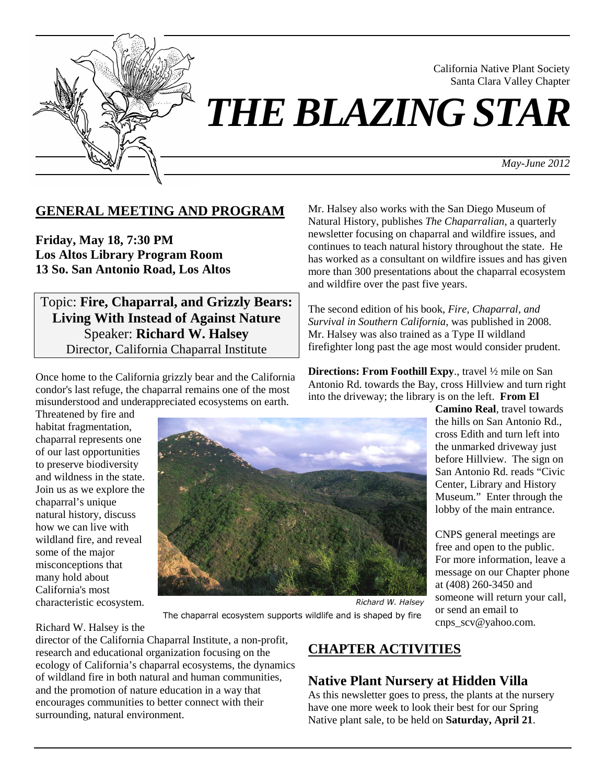

California Native Plant Society Santa Clara Valley Chapter

*May-June 2012*

## **GENERAL MEETING AND PROGRAM**

**Friday, May 18, 7:30 PM Los Altos Library Program Room 13 So. San Antonio Road, Los Altos**

Topic: **Fire, Chaparral, and Grizzly Bears: Living With Instead of Against Nature**  Speaker: **Richard W. Halsey** Director, California Chaparral Institute

Once home to the California grizzly bear and the California condor's last refuge, the chaparral remains one of the most misunderstood and underappreciated ecosystems on earth.

Threatened by fire and habitat fragmentation, chaparral represents one of our last opportunities to preserve biodiversity and wildness in the state. Join us as we explore the chaparral's unique natural history, discuss how we can live with wildland fire, and reveal some of the major misconceptions that many hold about California's most characteristic ecosystem.



Mr. Halsey also works with the San Diego Museum of Natural History, publishes *The Chaparralian*, a quarterly newsletter focusing on chaparral and wildfire issues, and continues to teach natural history throughout the state. He has worked as a consultant on wildfire issues and has given more than 300 presentations about the chaparral ecosystem and wildfire over the past five years.

The second edition of his book, *Fire, Chaparral, and Survival in Southern California,* was published in 2008. Mr. Halsey was also trained as a Type II wildland firefighter long past the age most would consider prudent.

**Directions: From Foothill Expy**., travel ½ mile on San Antonio Rd. towards the Bay, cross Hillview and turn right into the driveway; the library is on the left. **From El** 

> **Camino Real**, travel towards the hills on San Antonio Rd., cross Edith and turn left into the unmarked driveway just before Hillview. The sign on San Antonio Rd. reads "Civic Center, Library and History Museum." Enter through the lobby of the main entrance.

CNPS general meetings are free and open to the public. For more information, leave a message on our Chapter phone at (408) 260-3450 and someone will return your call, or send an email to cnps\_scv@yahoo.com.

The chaparral ecosystem supports wildlife and is shaped by fire

#### Richard W. Halsey is the

director of the California Chaparral Institute, a non-profit, research and educational organization focusing on the ecology of California's chaparral ecosystems, the dynamics of wildland fire in both natural and human communities, and the promotion of nature education in a way that encourages communities to better connect with their surrounding, natural environment.

# **CHAPTER ACTIVITIES**

## **Native Plant Nursery at Hidden Villa**

As this newsletter goes to press, the plants at the nursery have one more week to look their best for our Spring Native plant sale, to be held on **Saturday, April 21**.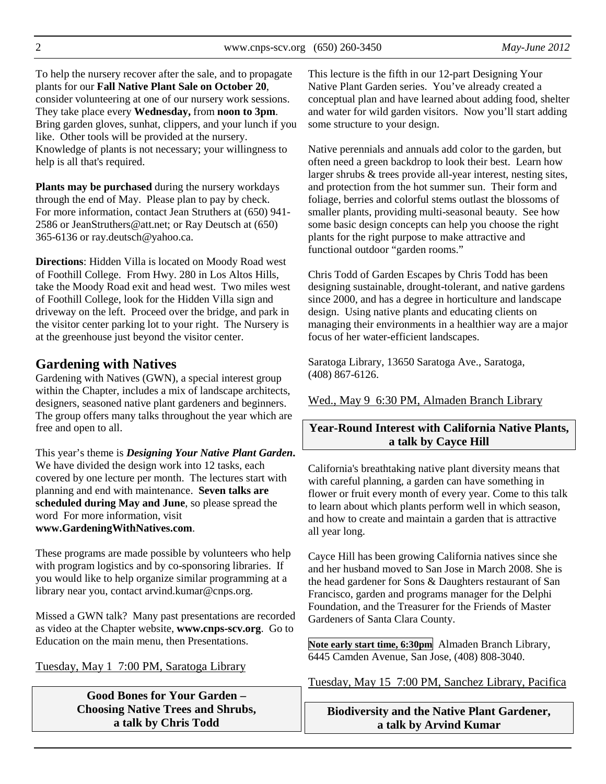2 www.cnps-scv.org (650) 260-3450 *May-June 2012*

To help the nursery recover after the sale, and to propagate plants for our **Fall Native Plant Sale on October 20**, consider volunteering at one of our nursery work sessions. They take place every **Wednesday,** from **noon to 3pm**. Bring garden gloves, sunhat, clippers, and your lunch if you like. Other tools will be provided at the nursery. Knowledge of plants is not necessary; your willingness to help is all that's required.

**Plants may be purchased** during the nursery workdays through the end of May. Please plan to pay by check. For more information, contact Jean Struthers at (650) 941- 2586 or JeanStruthers@att.net; or Ray Deutsch at (650) 365-6136 or ray.deutsch@yahoo.ca.

**Directions**: Hidden Villa is located on Moody Road west of Foothill College. From Hwy. 280 in Los Altos Hills, take the Moody Road exit and head west. Two miles west of Foothill College, look for the Hidden Villa sign and driveway on the left. Proceed over the bridge, and park in the visitor center parking lot to your right. The Nursery is at the greenhouse just beyond the visitor center.

### **Gardening with Natives**

Gardening with Natives (GWN), a special interest group within the Chapter, includes a mix of landscape architects, designers, seasoned native plant gardeners and beginners. The group offers many talks throughout the year which are free and open to all.

This year's theme is *Designing Your Native Plant Garden***.** We have divided the design work into 12 tasks, each covered by one lecture per month. The lectures start with planning and end with maintenance. **Seven talks are scheduled during May and June**, so please spread the word For more information, visit **www.GardeningWithNatives.com**.

These programs are made possible by volunteers who help with program logistics and by co-sponsoring libraries. If you would like to help organize similar programming at a library near you, contact arvind.kumar@cnps.org.

Missed a GWN talk? Many past presentations are recorded as video at the Chapter website, **www.cnps-scv.org**. Go to Education on the main menu, then Presentations.

#### Tuesday, May 1 7:00 PM, Saratoga Library

**Good Bones for Your Garden – Choosing Native Trees and Shrubs, a talk by Chris Todd** 

This lecture is the fifth in our 12-part Designing Your Native Plant Garden series. You've already created a conceptual plan and have learned about adding food, shelter and water for wild garden visitors. Now you'll start adding some structure to your design.

Native perennials and annuals add color to the garden, but often need a green backdrop to look their best. Learn how larger shrubs & trees provide all-year interest, nesting sites, and protection from the hot summer sun. Their form and foliage, berries and colorful stems outlast the blossoms of smaller plants, providing multi-seasonal beauty. See how some basic design concepts can help you choose the right plants for the right purpose to make attractive and functional outdoor "garden rooms."

Chris Todd of Garden Escapes by Chris Todd has been designing sustainable, drought-tolerant, and native gardens since 2000, and has a degree in horticulture and landscape design. Using native plants and educating clients on managing their environments in a healthier way are a major focus of her water-efficient landscapes.

Saratoga Library, 13650 Saratoga Ave., Saratoga, (408) 867-6126.

Wed., May 9 6:30 PM, Almaden Branch Library

### **Year-Round Interest with California Native Plants, a talk by Cayce Hill**

California's breathtaking native plant diversity means that with careful planning, a garden can have something in flower or fruit every month of every year. Come to this talk to learn about which plants perform well in which season, and how to create and maintain a garden that is attractive all year long.

Cayce Hill has been growing California natives since she and her husband moved to San Jose in March 2008. She is the head gardener for Sons & Daughters restaurant of San Francisco, garden and programs manager for the Delphi Foundation, and the Treasurer for the Friends of Master Gardeners of Santa Clara County.

**Note early start time, 6:30pm** Almaden Branch Library, 6445 Camden Avenue, San Jose, (408) 808-3040.

Tuesday, May 15 7:00 PM, Sanchez Library, Pacifica

**Biodiversity and the Native Plant Gardener, a talk by Arvind Kumar**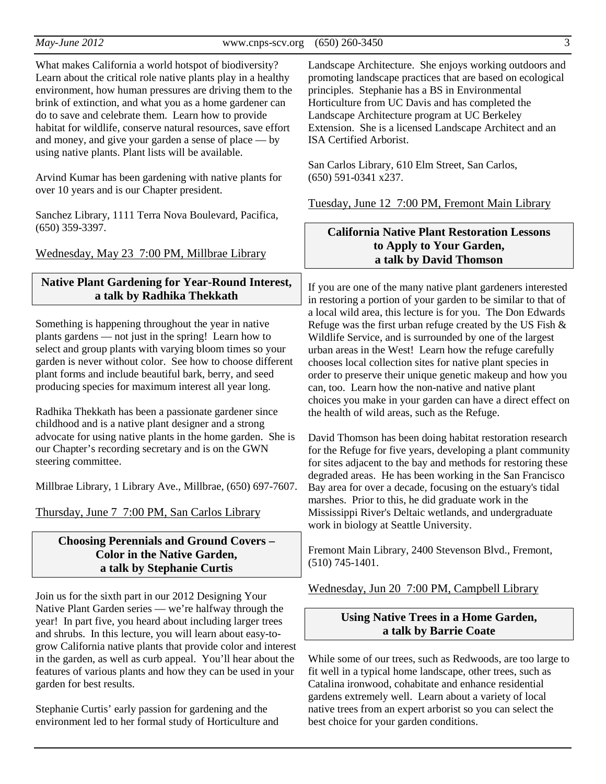*May-June 2012* **3 www.cnps-scv.org** (650) 260-3450 3

What makes California a world hotspot of biodiversity? Learn about the critical role native plants play in a healthy environment, how human pressures are driving them to the brink of extinction, and what you as a home gardener can do to save and celebrate them. Learn how to provide habitat for wildlife, conserve natural resources, save effort and money, and give your garden a sense of place — by using native plants. Plant lists will be available.

Arvind Kumar has been gardening with native plants for over 10 years and is our Chapter president.

Sanchez Library, 1111 Terra Nova Boulevard, Pacifica, (650) 359-3397.

Wednesday, May 23 7:00 PM, Millbrae Library

### **Native Plant Gardening for Year-Round Interest, a talk by Radhika Thekkath**

Something is happening throughout the year in native plants gardens — not just in the spring! Learn how to select and group plants with varying bloom times so your garden is never without color. See how to choose different plant forms and include beautiful bark, berry, and seed producing species for maximum interest all year long.

Radhika Thekkath has been a passionate gardener since childhood and is a native plant designer and a strong advocate for using native plants in the home garden. She is our Chapter's recording secretary and is on the GWN steering committee.

Millbrae Library, 1 Library Ave., Millbrae, (650) 697-7607.

Thursday, June 7 7:00 PM, San Carlos Library

### **Choosing Perennials and Ground Covers – Color in the Native Garden, a talk by Stephanie Curtis**

Join us for the sixth part in our 2012 Designing Your Native Plant Garden series — we're halfway through the year! In part five, you heard about including larger trees and shrubs. In this lecture, you will learn about easy-togrow California native plants that provide color and interest in the garden, as well as curb appeal. You'll hear about the features of various plants and how they can be used in your garden for best results.

Stephanie Curtis' early passion for gardening and the environment led to her formal study of Horticulture and

Landscape Architecture. She enjoys working outdoors and promoting landscape practices that are based on ecological principles. Stephanie has a BS in Environmental Horticulture from UC Davis and has completed the Landscape Architecture program at UC Berkeley Extension. She is a licensed Landscape Architect and an ISA Certified Arborist.

San Carlos Library, 610 Elm Street, San Carlos, (650) 591-0341 x237.

Tuesday, June 12 7:00 PM, Fremont Main Library

### **California Native Plant Restoration Lessons to Apply to Your Garden, a talk by David Thomson**

If you are one of the many native plant gardeners interested in restoring a portion of your garden to be similar to that of a local wild area, this lecture is for you. The Don Edwards Refuge was the first urban refuge created by the US Fish & Wildlife Service, and is surrounded by one of the largest urban areas in the West! Learn how the refuge carefully chooses local collection sites for native plant species in order to preserve their unique genetic makeup and how you can, too. Learn how the non-native and native plant choices you make in your garden can have a direct effect on the health of wild areas, such as the Refuge.

David Thomson has been doing habitat restoration research for the Refuge for five years, developing a plant community for sites adjacent to the bay and methods for restoring these degraded areas. He has been working in the San Francisco Bay area for over a decade, focusing on the estuary's tidal marshes. Prior to this, he did graduate work in the Mississippi River's Deltaic wetlands, and undergraduate work in biology at Seattle University.

Fremont Main Library, 2400 Stevenson Blvd., Fremont, (510) 745-1401.

Wednesday, Jun 20 7:00 PM, Campbell Library

### **Using Native Trees in a Home Garden, a talk by Barrie Coate**

While some of our trees, such as Redwoods, are too large to fit well in a typical home landscape, other trees, such as Catalina ironwood, cohabitate and enhance residential gardens extremely well. Learn about a variety of local native trees from an expert arborist so you can select the best choice for your garden conditions.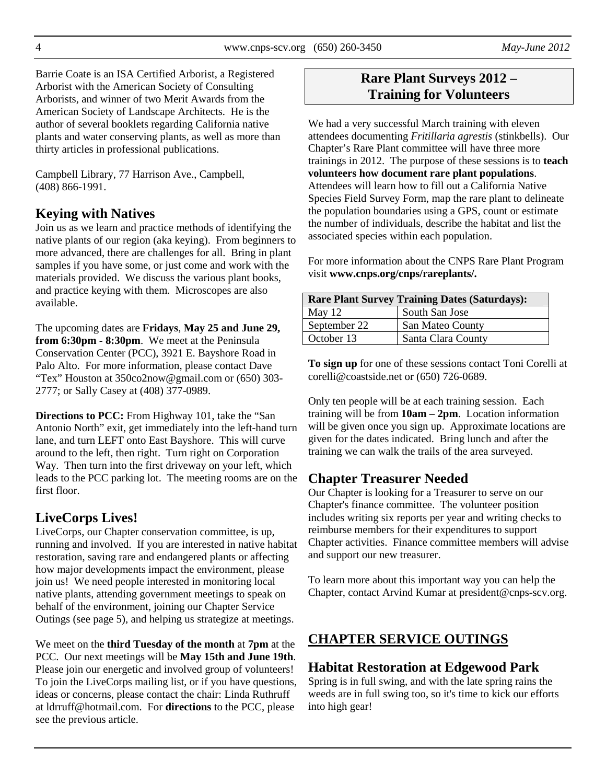Barrie Coate is an ISA Certified Arborist, a Registered Arborist with the American Society of Consulting Arborists, and winner of two Merit Awards from the American Society of Landscape Architects. He is the author of several booklets regarding California native plants and water conserving plants, as well as more than thirty articles in professional publications.

Campbell Library, 77 Harrison Ave., Campbell, (408) 866-1991.

# **Keying with Natives**

Join us as we learn and practice methods of identifying the native plants of our region (aka keying). From beginners to more advanced, there are challenges for all. Bring in plant samples if you have some, or just come and work with the materials provided. We discuss the various plant books, and practice keying with them. Microscopes are also available.

The upcoming dates are **Fridays**, **May 25 and June 29, from 6:30pm - 8:30pm**. We meet at the Peninsula Conservation Center (PCC), 3921 E. Bayshore Road in Palo Alto. For more information, please contact Dave "Tex" Houston at 350co2now@gmail.com or (650) 303- 2777; or Sally Casey at (408) 377-0989.

**Directions to PCC:** From Highway 101, take the "San Antonio North" exit, get immediately into the left-hand turn lane, and turn LEFT onto East Bayshore. This will curve around to the left, then right. Turn right on Corporation Way. Then turn into the first driveway on your left, which leads to the PCC parking lot. The meeting rooms are on the first floor.

# **LiveCorps Lives!**

LiveCorps, our Chapter conservation committee, is up, running and involved. If you are interested in native habitat restoration, saving rare and endangered plants or affecting how major developments impact the environment, please join us! We need people interested in monitoring local native plants, attending government meetings to speak on behalf of the environment, joining our Chapter Service Outings (see page 5), and helping us strategize at meetings.

We meet on the **third Tuesday of the month** at **7pm** at the PCC. Our next meetings will be **May 15th and June 19th**. Please join our energetic and involved group of volunteers! To join the LiveCorps mailing list, or if you have questions, ideas or concerns, please contact the chair: Linda Ruthruff at ldrruff@hotmail.com. For **directions** to the PCC, please see the previous article.

# **Rare Plant Surveys 2012 – Training for Volunteers**

We had a very successful March training with eleven attendees documenting *Fritillaria agrestis* (stinkbells). Our Chapter's Rare Plant committee will have three more trainings in 2012. The purpose of these sessions is to **teach volunteers how document rare plant populations**. Attendees will learn how to fill out a California Native Species Field Survey Form, map the rare plant to delineate the population boundaries using a GPS, count or estimate the number of individuals, describe the habitat and list the associated species within each population.

For more information about the CNPS Rare Plant Program visit **www.cnps.org/cnps/rareplants/.**

| <b>Rare Plant Survey Training Dates (Saturdays):</b> |                    |  |  |
|------------------------------------------------------|--------------------|--|--|
| May $12$                                             | South San Jose     |  |  |
| September 22                                         | San Mateo County   |  |  |
| October 13                                           | Santa Clara County |  |  |

**To sign up** for one of these sessions contact Toni Corelli at corelli@coastside.net or (650) 726-0689.

Only ten people will be at each training session. Each training will be from **10am – 2pm**. Location information will be given once you sign up. Approximate locations are given for the dates indicated. Bring lunch and after the training we can walk the trails of the area surveyed.

# **Chapter Treasurer Needed**

Our Chapter is looking for a Treasurer to serve on our Chapter's finance committee. The volunteer position includes writing six reports per year and writing checks to reimburse members for their expenditures to support Chapter activities. Finance committee members will advise and support our new treasurer.

To learn more about this important way you can help the Chapter, contact Arvind Kumar at president@cnps-scv.org.

# **CHAPTER SERVICE OUTINGS**

## **Habitat Restoration at Edgewood Park**

Spring is in full swing, and with the late spring rains the weeds are in full swing too, so it's time to kick our efforts into high gear!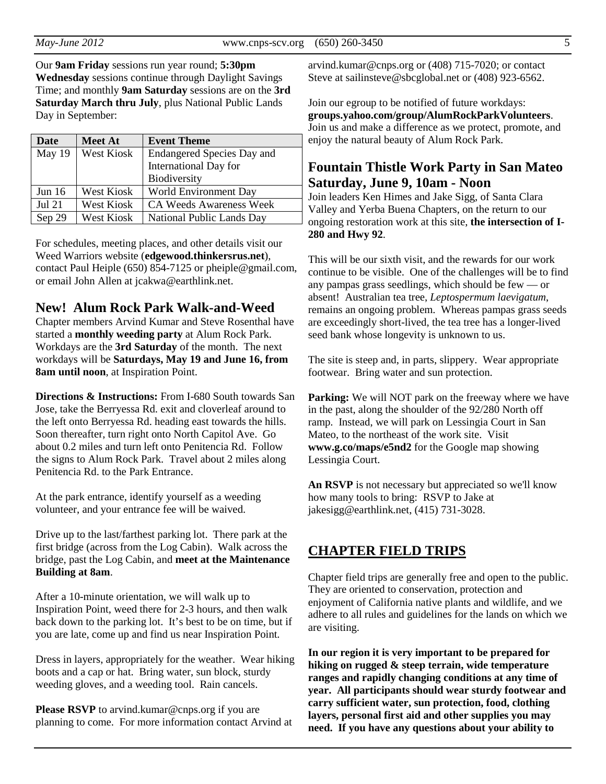Our **9am Friday** sessions run year round; **5:30pm Wednesday** sessions continue through Daylight Savings Time; and monthly **9am Saturday** sessions are on the **3rd Saturday March thru July**, plus National Public Lands Day in September:

| Date          | <b>Meet At</b>    | <b>Event Theme</b>                |  |
|---------------|-------------------|-----------------------------------|--|
| May 19        | <b>West Kiosk</b> | <b>Endangered Species Day and</b> |  |
|               |                   | International Day for             |  |
|               |                   | Biodiversity                      |  |
| Jun $16$      | West Kiosk        | World Environment Day             |  |
| <b>Jul 21</b> | West Kiosk        | <b>CA Weeds Awareness Week</b>    |  |
| Sep 29        | West Kiosk        | National Public Lands Day         |  |

For schedules, meeting places, and other details visit our Weed Warriors website (**edgewood.thinkersrus.net**), contact Paul Heiple (650) 854-7125 or pheiple@gmail.com, or email John Allen at jcakwa@earthlink.net.

#### **New! Alum Rock Park Walk-and-Weed**

Chapter members Arvind Kumar and Steve Rosenthal have started a **monthly weeding party** at Alum Rock Park. Workdays are the **3rd Saturday** of the month. The next workdays will be **Saturdays, May 19 and June 16, from 8am until noon**, at Inspiration Point.

**Directions & Instructions:** From I-680 South towards San Jose, take the Berryessa Rd. exit and cloverleaf around to the left onto Berryessa Rd. heading east towards the hills. Soon thereafter, turn right onto North Capitol Ave. Go about 0.2 miles and turn left onto Penitencia Rd. Follow the signs to Alum Rock Park. Travel about 2 miles along Penitencia Rd. to the Park Entrance.

At the park entrance, identify yourself as a weeding volunteer, and your entrance fee will be waived.

Drive up to the last/farthest parking lot. There park at the first bridge (across from the Log Cabin). Walk across the bridge, past the Log Cabin, and **meet at the Maintenance Building at 8am**.

After a 10-minute orientation, we will walk up to Inspiration Point, weed there for 2-3 hours, and then walk back down to the parking lot. It's best to be on time, but if you are late, come up and find us near Inspiration Point.

Dress in layers, appropriately for the weather. Wear hiking boots and a cap or hat. Bring water, sun block, sturdy weeding gloves, and a weeding tool. Rain cancels.

**Please RSVP** to arvind.kumar@cnps.org if you are planning to come. For more information contact Arvind at

arvind.kumar@cnps.org or (408) 715-7020; or contact Steve at sailinsteve@sbcglobal.net or (408) 923-6562.

Join our egroup to be notified of future workdays: **groups.yahoo.com/group/AlumRockParkVolunteers**. Join us and make a difference as we protect, promote, and enjoy the natural beauty of Alum Rock Park.

## **Fountain Thistle Work Party in San Mateo Saturday, June 9, 10am - Noon**

Join leaders Ken Himes and Jake Sigg, of Santa Clara Valley and Yerba Buena Chapters, on the return to our ongoing restoration work at this site, **the intersection of I-280 and Hwy 92**.

This will be our sixth visit, and the rewards for our work continue to be visible. One of the challenges will be to find any pampas grass seedlings, which should be few — or absent! Australian tea tree, *Leptospermum laevigatum*, remains an ongoing problem. Whereas pampas grass seeds are exceedingly short-lived, the tea tree has a longer-lived seed bank whose longevity is unknown to us.

The site is steep and, in parts, slippery. Wear appropriate footwear. Bring water and sun protection.

**Parking:** We will NOT park on the freeway where we have in the past, along the shoulder of the 92/280 North off ramp. Instead, we will park on Lessingia Court in San Mateo, to the northeast of the work site. Visit **www.g.co/maps/e5nd2** for the Google map showing Lessingia Court.

**An RSVP** is not necessary but appreciated so we'll know how many tools to bring: RSVP to Jake at jakesigg@earthlink.net, (415) 731-3028.

### **CHAPTER FIELD TRIPS**

Chapter field trips are generally free and open to the public. They are oriented to conservation, protection and enjoyment of California native plants and wildlife, and we adhere to all rules and guidelines for the lands on which we are visiting.

**In our region it is very important to be prepared for hiking on rugged & steep terrain, wide temperature ranges and rapidly changing conditions at any time of year. All participants should wear sturdy footwear and carry sufficient water, sun protection, food, clothing layers, personal first aid and other supplies you may need. If you have any questions about your ability to**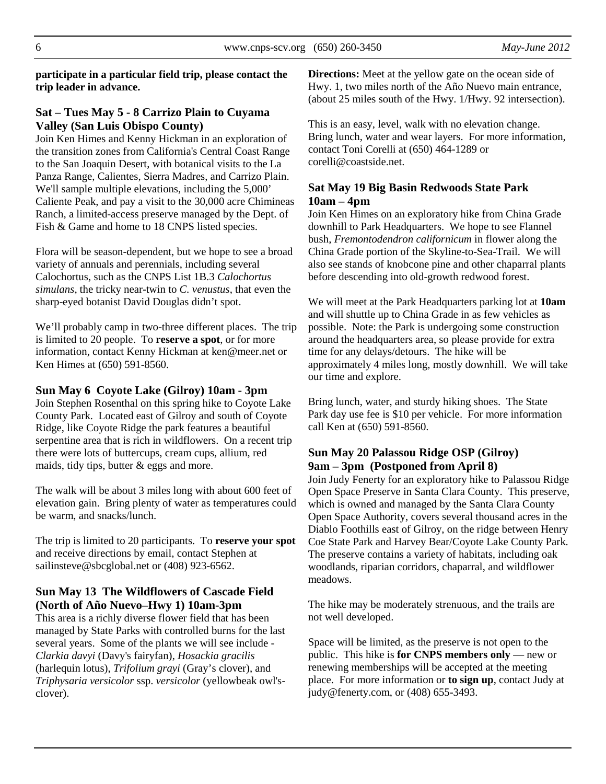**participate in a particular field trip, please contact the trip leader in advance.** 

### **Sat – Tues May 5 - 8 Carrizo Plain to Cuyama Valley (San Luis Obispo County)**

Join Ken Himes and Kenny Hickman in an exploration of the transition zones from California's Central Coast Range to the San Joaquin Desert, with botanical visits to the La Panza Range, Calientes, Sierra Madres, and Carrizo Plain. We'll sample multiple elevations, including the 5,000' Caliente Peak, and pay a visit to the 30,000 acre Chimineas Ranch, a limited-access preserve managed by the Dept. of Fish & Game and home to 18 CNPS listed species.

Flora will be season-dependent, but we hope to see a broad variety of annuals and perennials, including several Calochortus, such as the CNPS List 1B.3 *Calochortus simulans*, the tricky near-twin to *C. venustus*, that even the sharp-eyed botanist David Douglas didn't spot.

We'll probably camp in two-three different places. The trip is limited to 20 people. To **reserve a spot**, or for more information, contact Kenny Hickman at ken@meer.net or Ken Himes at (650) 591-8560.

#### **Sun May 6 Coyote Lake (Gilroy) 10am - 3pm**

Join Stephen Rosenthal on this spring hike to Coyote Lake County Park. Located east of Gilroy and south of Coyote Ridge, like Coyote Ridge the park features a beautiful serpentine area that is rich in wildflowers. On a recent trip there were lots of buttercups, cream cups, allium, red maids, tidy tips, butter & eggs and more.

The walk will be about 3 miles long with about 600 feet of elevation gain. Bring plenty of water as temperatures could be warm, and snacks/lunch.

The trip is limited to 20 participants. To **reserve your spot**  and receive directions by email, contact Stephen at sailinsteve@sbcglobal.net or (408) 923-6562.

### **Sun May 13 The Wildflowers of Cascade Field (North of Año Nuevo–Hwy 1) 10am-3pm**

This area is a richly diverse flower field that has been managed by State Parks with controlled burns for the last several years. Some of the plants we will see include - *Clarkia davyi* (Davy's fairyfan), *Hosackia gracilis* (harlequin lotus), *Trifolium grayi* (Gray's clover), and *Triphysaria versicolor* ssp. *versicolor* (yellowbeak owl'sclover).

**Directions:** Meet at the yellow gate on the ocean side of Hwy. 1, two miles north of the Año Nuevo main entrance, (about 25 miles south of the Hwy. 1/Hwy. 92 intersection).

This is an easy, level, walk with no elevation change. Bring lunch, water and wear layers. For more information, contact Toni Corelli at (650) 464-1289 or corelli@coastside.net.

#### **Sat May 19 Big Basin Redwoods State Park 10am – 4pm**

Join Ken Himes on an exploratory hike from China Grade downhill to Park Headquarters. We hope to see Flannel bush, *Fremontodendron californicum* in flower along the China Grade portion of the Skyline-to-Sea-Trail. We will also see stands of knobcone pine and other chaparral plants before descending into old-growth redwood forest.

We will meet at the Park Headquarters parking lot at **10am** and will shuttle up to China Grade in as few vehicles as possible. Note: the Park is undergoing some construction around the headquarters area, so please provide for extra time for any delays/detours. The hike will be approximately 4 miles long, mostly downhill. We will take our time and explore.

Bring lunch, water, and sturdy hiking shoes. The State Park day use fee is \$10 per vehicle. For more information call Ken at (650) 591-8560.

### **Sun May 20 Palassou Ridge OSP (Gilroy) 9am – 3pm (Postponed from April 8)**

Join Judy Fenerty for an exploratory hike to Palassou Ridge Open Space Preserve in Santa Clara County. This preserve, which is owned and managed by the Santa Clara County Open Space Authority, covers several thousand acres in the Diablo Foothills east of Gilroy, on the ridge between Henry Coe State Park and Harvey Bear/Coyote Lake County Park. The preserve contains a variety of habitats, including oak woodlands, riparian corridors, chaparral, and wildflower meadows.

The hike may be moderately strenuous, and the trails are not well developed.

Space will be limited, as the preserve is not open to the public. This hike is **for CNPS members only** — new or renewing memberships will be accepted at the meeting place. For more information or **to sign up**, contact Judy at judy@fenerty.com, or (408) 655-3493.